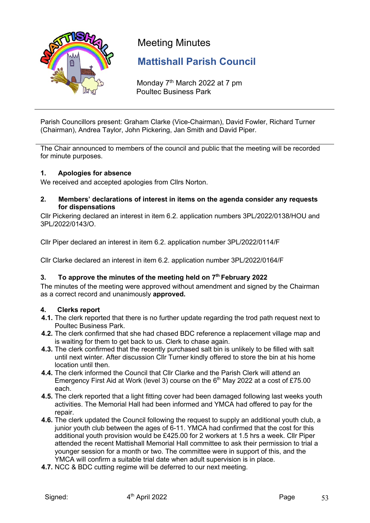

# Meeting Minutes

## **Mattishall Parish Council**

Monday 7<sup>th</sup> March 2022 at 7 pm Poultec Business Park

Parish Councillors present: Graham Clarke (Vice-Chairman), David Fowler, Richard Turner (Chairman), Andrea Taylor, John Pickering, Jan Smith and David Piper.

The Chair announced to members of the council and public that the meeting will be recorded for minute purposes.

## **1. Apologies for absence**

We received and accepted apologies from Cllrs Norton.

**2. Members' declarations of interest in items on the agenda consider any requests for dispensations**

Cllr Pickering declared an interest in item 6.2. application numbers 3PL/2022/0138/HOU and 3PL/2022/0143/O.

Cllr Piper declared an interest in item 6.2. application number 3PL/2022/0114/F

Cllr Clarke declared an interest in item 6.2. application number 3PL/2022/0164/F

## **3. To approve the minutes of the meeting held on 7th February 2022**

The minutes of the meeting were approved without amendment and signed by the Chairman as a correct record and unanimously **approved.**

## **4. Clerks report**

- **4.1.** The clerk reported that there is no further update regarding the trod path request next to Poultec Business Park.
- **4.2.** The clerk confirmed that she had chased BDC reference a replacement village map and is waiting for them to get back to us. Clerk to chase again.
- **4.3.** The clerk confirmed that the recently purchased salt bin is unlikely to be filled with salt until next winter. After discussion Cllr Turner kindly offered to store the bin at his home location until then.
- **4.4.** The clerk informed the Council that Cllr Clarke and the Parish Clerk will attend an Emergency First Aid at Work (level 3) course on the  $6<sup>th</sup>$  May 2022 at a cost of £75.00 each.
- **4.5.** The clerk reported that a light fitting cover had been damaged following last weeks youth activities. The Memorial Hall had been informed and YMCA had offered to pay for the repair.
- **4.6.** The clerk updated the Council following the request to supply an additional youth club, a junior youth club between the ages of 6-11. YMCA had confirmed that the cost for this additional youth provision would be £425.00 for 2 workers at 1.5 hrs a week. Cllr Piper attended the recent Mattishall Memorial Hall committee to ask their permission to trial a younger session for a month or two. The committee were in support of this, and the YMCA will confirm a suitable trial date when adult supervision is in place.
- **4.7.** NCC & BDC cutting regime will be deferred to our next meeting.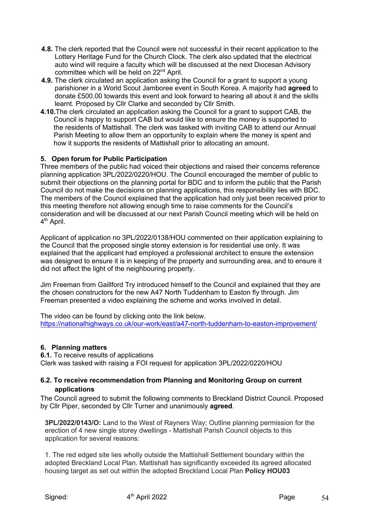- **4.8.** The clerk reported that the Council were not successful in their recent application to the Lottery Heritage Fund for the Church Clock. The clerk also updated that the electrical auto wind will require a faculty which will be discussed at the next Diocesan Advisory committee which will be held on 22<sup>nd</sup> April.
- **4.9.** The clerk circulated an application asking the Council for a grant to support a young parishioner in a World Scout Jamboree event in South Korea. A majority had **agreed** to donate £500.00 towards this event and look forward to hearing all about it and the skills learnt. Proposed by Cllr Clarke and seconded by Cllr Smith.
- **4.10.**The clerk circulated an application asking the Council for a grant to support CAB, the Council is happy to support CAB but would like to ensure the money is supported to the residents of Mattishall. The clerk was tasked with inviting CAB to attend our Annual Parish Meeting to allow them an opportunity to explain where the money is spent and how it supports the residents of Mattishall prior to allocating an amount.

## **5. Open forum for Public Participation**

Three members of the public had voiced their objections and raised their concerns reference planning application 3PL/2022/0220/HOU. The Council encouraged the member of public to submit their objections on the planning portal for BDC and to inform the public that the Parish Council do not make the decisions on planning applications, this responsibility lies with BDC. The members of the Council explained that the application had only just been received prior to this meeting therefore not allowing enough time to raise comments for the Council's consideration and will be discussed at our next Parish Council meeting which will be held on 4<sup>th</sup> April.

Applicant of application no 3PL/2022/0138/HOU commented on their application explaining to the Council that the proposed single storey extension is for residential use only. It was explained that the applicant had employed a professional architect to ensure the extension was designed to ensure it is in keeping of the property and surrounding area, and to ensure it did not affect the light of the neighbouring property.

Jim Freeman from Gaillford Try introduced himself to the Council and explained that they are the chosen constructors for the new A47 North Tuddenham to Easton fly through. Jim Freeman presented a video explaining the scheme and works involved in detail.

The video can be found by clicking onto the link below. https://nationalhighways.co.uk/our-work/east/a47-north-tuddenham-to-easton-improvement/

## **6. Planning matters**

**6.1.** To receive results of applications Clerk was tasked with raising a FOI request for application 3PL/2022/0220/HOU

## **6.2. To receive recommendation from Planning and Monitoring Group on current applications**

The Council agreed to submit the following comments to Breckland District Council. Proposed by Cllr Piper, seconded by Cllr Turner and unanimously **agreed**.

**3PL/2022/0143/O:** Land to the West of Rayners Way; Outline planning permission for the erection of 4 new single storey dwellings - Mattishall Parish Council objects to this application for several reasons:

1. The red edged site lies wholly outside the Mattishall Settlement boundary within the adopted Breckland Local Plan. Mattishall has significantly exceeded its agreed allocated housing target as set out within the adopted Breckland Local Plan **Policy HOU03**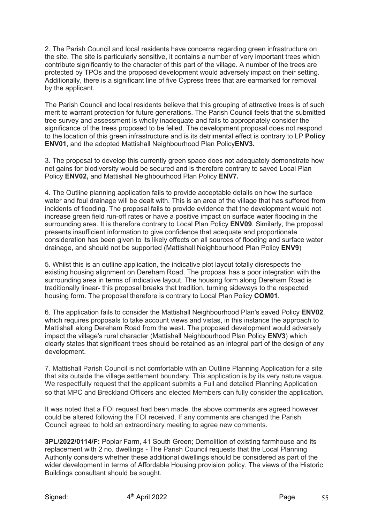2. The Parish Council and local residents have concerns regarding green infrastructure on the site. The site is particularly sensitive, it contains a number of very important trees which contribute significantly to the character of this part of the village. A number of the trees are protected by TPOs and the proposed development would adversely impact on their setting. Additionally, there is a significant line of five Cypress trees that are earmarked for removal by the applicant.

The Parish Council and local residents believe that this grouping of attractive trees is of such merit to warrant protection for future generations. The Parish Council feels that the submitted tree survey and assessment is wholly inadequate and fails to appropriately consider the significance of the trees proposed to be felled. The development proposal does not respond to the location of this green infrastructure and is its detrimental effect is contrary to LP **Policy ENV01**, and the adopted Mattishall Neighbourhood Plan Policy**ENV3.**

3. The proposal to develop this currently green space does not adequately demonstrate how net gains for biodiversity would be secured and is therefore contrary to saved Local Plan Policy **ENV02,** and Mattishall Neighbourhood Plan Policy **ENV7.**

4. The Outline planning application fails to provide acceptable details on how the surface water and foul drainage will be dealt with. This is an area of the village that has suffered from incidents of flooding. The proposal fails to provide evidence that the development would not increase green field run-off rates or have a positive impact on surface water flooding in the surrounding area. It is therefore contrary to Local Plan Policy **ENV09**. Similarly, the proposal presents insufficient information to give confidence that adequate and proportionate consideration has been given to its likely effects on all sources of flooding and surface water drainage, and should not be supported (Mattishall Neighbourhood Plan Policy **ENV9**)

5. Whilst this is an outline application, the indicative plot layout totally disrespects the existing housing alignment on Dereham Road. The proposal has a poor integration with the surrounding area in terms of indicative layout. The housing form along Dereham Road is traditionally linear- this proposal breaks that tradition, turning sideways to the respected housing form. The proposal therefore is contrary to Local Plan Policy **COM01**.

6. The application fails to consider the Mattishall Neighbourhood Plan's saved Policy **ENV02**, which requires proposals to take account views and vistas, in this instance the approach to Mattishall along Dereham Road from the west. The proposed development would adversely impact the village's rural character (Mattishall Neighbourhood Plan Policy **ENV3**) which clearly states that significant trees should be retained as an integral part of the design of any development.

7. Mattishall Parish Council is not comfortable with an Outline Planning Application for a site that sits outside the village settlement boundary. This application is by its very nature vague. We respectfully request that the applicant submits a Full and detailed Planning Application so that MPC and Breckland Officers and elected Members can fully consider the application.

It was noted that a FOI request had been made, the above comments are agreed however could be altered following the FOI received. If any comments are changed the Parish Council agreed to hold an extraordinary meeting to agree new comments.

**3PL/2022/0114/F:** Poplar Farm, 41 South Green; Demolition of existing farmhouse and its replacement with 2 no. dwellings - The Parish Council requests that the Local Planning Authority considers whether these additional dwellings should be considered as part of the wider development in terms of Affordable Housing provision policy. The views of the Historic Buildings consultant should be sought.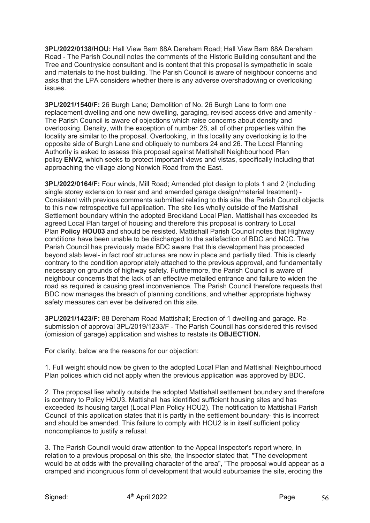**3PL/2022/0138/HOU:** Hall View Barn 88A Dereham Road; Hall View Barn 88A Dereham Road - The Parish Council notes the comments of the Historic Building consultant and the Tree and Countryside consultant and is content that this proposal is sympathetic in scale and materials to the host building. The Parish Council is aware of neighbour concerns and asks that the LPA considers whether there is any adverse overshadowing or overlooking issues.

**3PL/2021/1540/F:** 26 Burgh Lane; Demolition of No. 26 Burgh Lane to form one replacement dwelling and one new dwelling, garaging, revised access drive and amenity - The Parish Council is aware of objections which raise concerns about density and overlooking. Density, with the exception of number 28, all of other properties within the locality are similar to the proposal. Overlooking, in this locality any overlooking is to the opposite side of Burgh Lane and obliquely to numbers 24 and 26. The Local Planning Authority is asked to assess this proposal against Mattishall Neighbourhood Plan policy **ENV2,** which seeks to protect important views and vistas, specifically including that approaching the village along Norwich Road from the East.

**3PL/2022/0164/F:** Four winds, Mill Road; Amended plot design to plots 1 and 2 (including single storey extension to rear and and amended garage design/material treatment) - Consistent with previous comments submitted relating to this site, the Parish Council objects to this new retrospective full application. The site lies wholly outside of the Mattishall Settlement boundary within the adopted Breckland Local Plan. Mattishall has exceeded its agreed Local Plan target of housing and therefore this proposal is contrary to Local Plan **Policy HOU03** and should be resisted. Mattishall Parish Council notes that Highway conditions have been unable to be discharged to the satisfaction of BDC and NCC. The Parish Council has previously made BDC aware that this development has proceeded beyond slab level- in fact roof structures are now in place and partially tiled. This is clearly contrary to the condition appropriately attached to the previous approval, and fundamentally necessary on grounds of highway safety. Furthermore, the Parish Council is aware of neighbour concerns that the lack of an effective metalled entrance and failure to widen the road as required is causing great inconvenience. The Parish Council therefore requests that BDC now manages the breach of planning conditions, and whether appropriate highway safety measures can ever be delivered on this site.

**3PL/2021/1423/F:** 88 Dereham Road Mattishall; Erection of 1 dwelling and garage. Resubmission of approval 3PL/2019/1233/F - The Parish Council has considered this revised (omission of garage) application and wishes to restate its **OBJECTION.**

For clarity, below are the reasons for our objection:

1. Full weight should now be given to the adopted Local Plan and Mattishall Neighbourhood Plan polices which did not apply when the previous application was approved by BDC.

2. The proposal lies wholly outside the adopted Mattishall settlement boundary and therefore is contrary to Policy HOU3. Mattishall has identified sufficient housing sites and has exceeded its housing target (Local Plan Policy HOU2). The notification to Mattishall Parish Council of this application states that it is partly in the settlement boundary- this is incorrect and should be amended. This failure to comply with HOU2 is in itself sufficient policy noncompliance to justify a refusal.

3. The Parish Council would draw attention to the Appeal Inspector's report where, in relation to a previous proposal on this site, the Inspector stated that, "The development would be at odds with the prevailing character of the area", "The proposal would appear as a cramped and incongruous form of development that would suburbanise the site, eroding the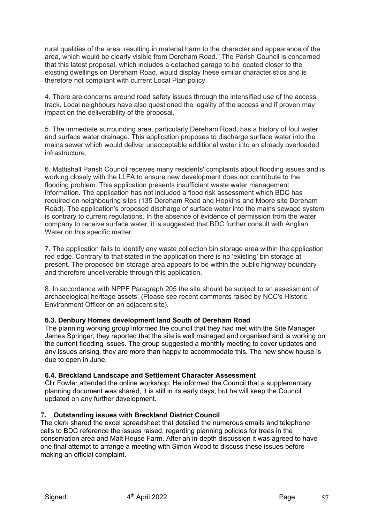rural qualities of the area, resulting in material harm to the character and appearance of the area, which would be clearly visible from Dereham Road." The Parish Council is concerned that this latest proposal, which includes a detached garage to be located closer to the existing dwellings on Dereham Road, would display these similar characteristics and is therefore not compliant with current Local Plan policy.

4. There are concerns around road safety issues through the intensified use of the access track. Local neighbours have also questioned the legality of the access and if proven may impact on the deliverability of the proposal.

5. The immediate surrounding area, particularly Dereham Road, has a history of foul water and surface water drainage. This application proposes to discharge surface water into the mains sewer which would deliver unacceptable additional water into an already overloaded infrastructure.

6. Mattishall Parish Council receives many residents' complaints about flooding issues and is working closely with the LLFA to ensure new development does not contribute to the flooding problem. This application presents insufficient waste water management information. The application has not included a flood risk assessment which BDC has required on neighbouring sites (135 Dereham Road and Hopkins and Moore site Dereham Road). The application's proposed discharge of surface water into the mains sewage system is contrary to current regulations. In the absence of evidence of permission from the water company to receive surface water, it is suggested that BDC further consult with Anglian Water on this specific matter.

7. The application fails to identify any waste collection bin storage area within the application red edge. Contrary to that stated in the application there is no 'existing' bin storage at present. The proposed bin storage area appears to be within the public highway boundary and therefore undeliverable through this application.

8. In accordance with NPPF Paragraph 205 the site should be subject to an assessment of archaeological heritage assets. (Please see recent comments raised by NCC's Historic Environment Officer on an adjacent site).

#### **6.3. Denbury Homes development land South of Dereham Road**

The planning working group informed the council that they had met with the Site Manager James Springer, they reported that the site is well managed and organised and is working on the current flooding issues. The group suggested a monthly meeting to cover updates and any issues arising, they are more than happy to accommodate this. The new show house is due to open in June.

#### **6.4. Breckland Landscape and Settlement Character Assessment**

Cllr Fowler attended the online workshop. He informed the Council that a supplementary planning document was shared, it is still in its early days, but he will keep the Council updated on any further development.

#### **7. Outstanding issues with Breckland District Council**

The clerk shared the excel spreadsheet that detailed the numerous emails and telephone calls to BDC reference the issues raised, regarding planning policies for trees in the conservation area and Malt House Farm. After an in-depth discussion it was agreed to have one final attempt to arrange a meeting with Simon Wood to discuss these issues before making an official complaint.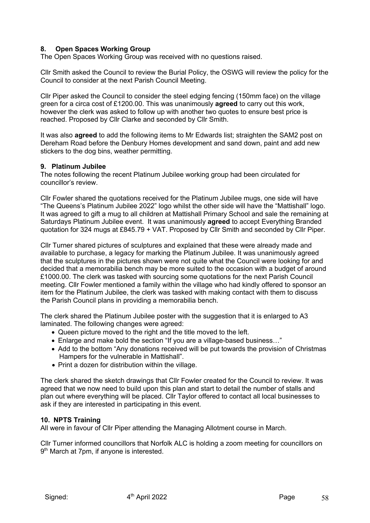## **8. Open Spaces Working Group**

The Open Spaces Working Group was received with no questions raised.

Cllr Smith asked the Council to review the Burial Policy, the OSWG will review the policy for the Council to consider at the next Parish Council Meeting.

Cllr Piper asked the Council to consider the steel edging fencing (150mm face) on the village green for a circa cost of £1200.00. This was unanimously **agreed** to carry out this work, however the clerk was asked to follow up with another two quotes to ensure best price is reached. Proposed by Cllr Clarke and seconded by Cllr Smith.

It was also **agreed** to add the following items to Mr Edwards list; straighten the SAM2 post on Dereham Road before the Denbury Homes development and sand down, paint and add new stickers to the dog bins, weather permitting.

#### **9. Platinum Jubilee**

The notes following the recent Platinum Jubilee working group had been circulated for councillor's review.

Cllr Fowler shared the quotations received for the Platinum Jubilee mugs, one side will have "The Queens's Platinum Jubilee 2022" logo whilst the other side will have the "Mattishall" logo. It was agreed to gift a mug to all children at Mattishall Primary School and sale the remaining at Saturdays Platinum Jubilee event. It was unanimously **agreed** to accept Everything Branded quotation for 324 mugs at £845.79 + VAT. Proposed by Cllr Smith and seconded by Cllr Piper.

Cllr Turner shared pictures of sculptures and explained that these were already made and available to purchase, a legacy for marking the Platinum Jubilee. It was unanimously agreed that the sculptures in the pictures shown were not quite what the Council were looking for and decided that a memorabilia bench may be more suited to the occasion with a budget of around £1000.00. The clerk was tasked with sourcing some quotations for the next Parish Council meeting. Cllr Fowler mentioned a family within the village who had kindly offered to sponsor an item for the Platinum Jubilee, the clerk was tasked with making contact with them to discuss the Parish Council plans in providing a memorabilia bench.

The clerk shared the Platinum Jubilee poster with the suggestion that it is enlarged to A3 laminated. The following changes were agreed:

- Queen picture moved to the right and the title moved to the left.
- Enlarge and make bold the section "If you are a village-based business…"
- Add to the bottom "Any donations received will be put towards the provision of Christmas Hampers for the vulnerable in Mattishall".
- Print a dozen for distribution within the village.

The clerk shared the sketch drawings that Cllr Fowler created for the Council to review. It was agreed that we now need to build upon this plan and start to detail the number of stalls and plan out where everything will be placed. Cllr Taylor offered to contact all local businesses to ask if they are interested in participating in this event.

#### **10. NPTS Training**

All were in favour of Cllr Piper attending the Managing Allotment course in March.

Cllr Turner informed councillors that Norfolk ALC is holding a zoom meeting for councillors on 9<sup>th</sup> March at 7pm, if anyone is interested.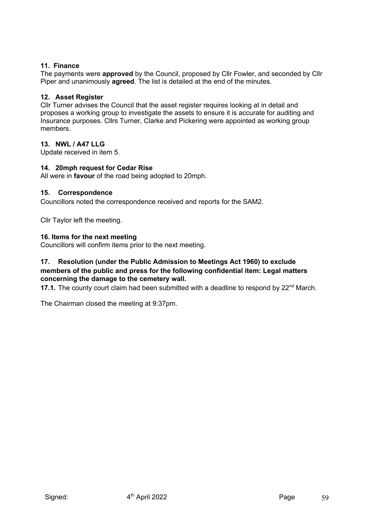## **11. Finance**

The payments were **approved** by the Council, proposed by Cllr Fowler, and seconded by Cllr Piper and unanimously **agreed**. The list is detailed at the end of the minutes.

## **12. Asset Register**

Cllr Turner advises the Council that the asset register requires looking at in detail and proposes a working group to investigate the assets to ensure it is accurate for auditing and Insurance purposes. Cllrs Turner, Clarke and Pickering were appointed as working group members.

#### **13. NWL / A47 LLG**

Update received in item 5.

## **14. 20mph request for Cedar Rise**

All were in **favour** of the road being adopted to 20mph.

## **15. Correspondence**

Councillors noted the correspondence received and reports for the SAM2.

Cllr Taylor left the meeting.

## **16. Items for the next meeting**

Councillors will confirm items prior to the next meeting.

## **17. Resolution (under the Public Admission to Meetings Act 1960) to exclude members of the public and press for the following confidential item: Legal matters concerning the damage to the cemetery wall.**

17.1. The county court claim had been submitted with a deadline to respond by 22<sup>nd</sup> March.

The Chairman closed the meeting at 9:37pm.